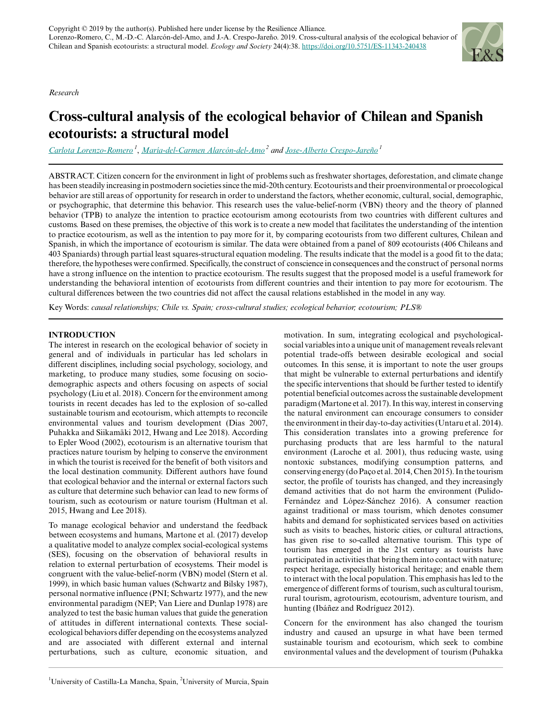*Research*



# **Cross-cultural analysis of the ecological behavior of Chilean and Spanish ecotourists: a structural model**

*[Carlota Lorenzo-Romero](mailto:carlota.lorenzo@uclm.es)<sup>1</sup>* , *[María-del-Carmen Alarcón-del-Amo](mailto:mcarmenalarcon@um.es)<sup>2</sup> and [Jose-Alberto Crespo-Jareño](mailto:crespoja@outlook.es)<sup>1</sup>*

ABSTRACT. Citizen concern for the environment in light of problems such as freshwater shortages, deforestation, and climate change has been steadily increasing in postmodern societies since the mid-20th century. Ecotourists and their proenvironmental or proecological behavior are still areas of opportunity for research in order to understand the factors, whether economic, cultural, social, demographic, or psychographic, that determine this behavior. This research uses the value-belief-norm (VBN) theory and the theory of planned behavior (TPB) to analyze the intention to practice ecotourism among ecotourists from two countries with different cultures and customs. Based on these premises, the objective of this work is to create a new model that facilitates the understanding of the intention to practice ecotourism, as well as the intention to pay more for it, by comparing ecotourists from two different cultures, Chilean and Spanish, in which the importance of ecotourism is similar. The data were obtained from a panel of 809 ecotourists (406 Chileans and 403 Spaniards) through partial least squares-structural equation modeling. The results indicate that the model is a good fit to the data; therefore, the hypotheses were confirmed. Specifically, the construct of conscience in consequences and the construct of personal norms have a strong influence on the intention to practice ecotourism. The results suggest that the proposed model is a useful framework for understanding the behavioral intention of ecotourists from different countries and their intention to pay more for ecotourism. The cultural differences between the two countries did not affect the causal relations established in the model in any way.

Key Words: *causal relationships; Chile vs. Spain; cross-cultural studies; ecological behavior; ecotourism; PLS®*

# **INTRODUCTION**

The interest in research on the ecological behavior of society in general and of individuals in particular has led scholars in different disciplines, including social psychology, sociology, and marketing, to produce many studies, some focusing on sociodemographic aspects and others focusing on aspects of social psychology (Liu et al. 2018). Concern for the environment among tourists in recent decades has led to the explosion of so-called sustainable tourism and ecotourism, which attempts to reconcile environmental values and tourism development (Dias 2007, Puhakka and Siikamäki 2012, Hwang and Lee 2018). According to Epler Wood (2002), ecotourism is an alternative tourism that practices nature tourism by helping to conserve the environment in which the tourist is received for the benefit of both visitors and the local destination community. Different authors have found that ecological behavior and the internal or external factors such as culture that determine such behavior can lead to new forms of tourism, such as ecotourism or nature tourism (Hultman et al. 2015, Hwang and Lee 2018).

To manage ecological behavior and understand the feedback between ecosystems and humans, Martone et al. (2017) develop a qualitative model to analyze complex social-ecological systems (SES), focusing on the observation of behavioral results in relation to external perturbation of ecosystems. Their model is congruent with the value-belief-norm (VBN) model (Stern et al. 1999), in which basic human values (Schwartz and Bilsky 1987), personal normative influence (PNI; Schwartz 1977), and the new environmental paradigm (NEP; Van Liere and Dunlap 1978) are analyzed to test the basic human values that guide the generation of attitudes in different international contexts. These socialecological behaviors differ depending on the ecosystems analyzed and are associated with different external and internal perturbations, such as culture, economic situation, and motivation. In sum, integrating ecological and psychologicalsocial variables into a unique unit of management reveals relevant potential trade-offs between desirable ecological and social outcomes. In this sense, it is important to note the user groups that might be vulnerable to external perturbations and identify the specific interventions that should be further tested to identify potential beneficial outcomes across the sustainable development paradigm (Martone et al. 2017). In this way, interest in conserving the natural environment can encourage consumers to consider the environment in their day-to-day activities (Untaru et al. 2014). This consideration translates into a growing preference for purchasing products that are less harmful to the natural environment (Laroche et al. 2001), thus reducing waste, using nontoxic substances, modifying consumption patterns, and conserving energy (do Paço et al. 2014, Chen 2015). In the tourism sector, the profile of tourists has changed, and they increasingly demand activities that do not harm the environment (Pulido-Fernández and López-Sánchez 2016). A consumer reaction against traditional or mass tourism, which denotes consumer habits and demand for sophisticated services based on activities such as visits to beaches, historic cities, or cultural attractions, has given rise to so-called alternative tourism. This type of tourism has emerged in the 21st century as tourists have participated in activities that bring them into contact with nature; respect heritage, especially historical heritage; and enable them to interact with the local population. This emphasis has led to the emergence of different forms of tourism, such as cultural tourism, rural tourism, agrotourism, ecotourism, adventure tourism, and hunting (Ibáñez and Rodríguez 2012).

Concern for the environment has also changed the tourism industry and caused an upsurge in what have been termed sustainable tourism and ecotourism, which seek to combine environmental values and the development of tourism (Puhakka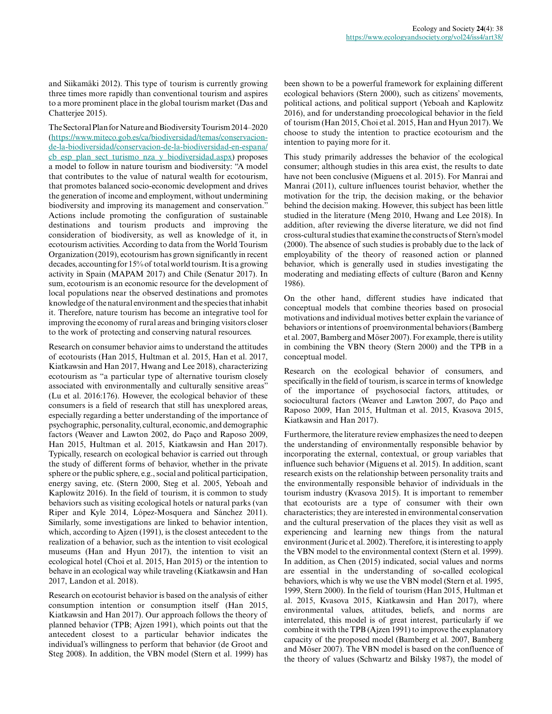and Siikamäki 2012). This type of tourism is currently growing three times more rapidly than conventional tourism and aspires to a more prominent place in the global tourism market (Das and Chatterjee 2015).

The Sectoral Plan for Nature and Biodiversity Tourism 2014–2020 ([https://www.miteco.gob.es/ca/biodiversidad/temas/conservacion](https://www.miteco.gob.es/ca/biodiversidad/temas/conservacion-de-la-biodiversidad/conservacion-de-la-biodiversidad-en-espana/cb_esp_plan_sect_turismo_nza_y_biodiversidad.aspx)[de-la-biodiversidad/conservacion-de-la-biodiversidad-en-espana/](https://www.miteco.gob.es/ca/biodiversidad/temas/conservacion-de-la-biodiversidad/conservacion-de-la-biodiversidad-en-espana/cb_esp_plan_sect_turismo_nza_y_biodiversidad.aspx) [cb\\_esp\\_plan\\_sect\\_turismo\\_nza\\_y\\_biodiversidad.aspx](https://www.miteco.gob.es/ca/biodiversidad/temas/conservacion-de-la-biodiversidad/conservacion-de-la-biodiversidad-en-espana/cb_esp_plan_sect_turismo_nza_y_biodiversidad.aspx)) proposes a model to follow in nature tourism and biodiversity: "A model that contributes to the value of natural wealth for ecotourism, that promotes balanced socio-economic development and drives the generation of income and employment, without undermining biodiversity and improving its management and conservation." Actions include promoting the configuration of sustainable destinations and tourism products and improving the consideration of biodiversity, as well as knowledge of it, in ecotourism activities. According to data from the World Tourism Organization (2019), ecotourism has grown significantly in recent decades, accounting for 15% of total world tourism. It is a growing activity in Spain (MAPAM 2017) and Chile (Senatur 2017). In sum, ecotourism is an economic resource for the development of local populations near the observed destinations and promotes knowledge of the natural environment and the species that inhabit it. Therefore, nature tourism has become an integrative tool for improving the economy of rural areas and bringing visitors closer to the work of protecting and conserving natural resources.

Research on consumer behavior aims to understand the attitudes of ecotourists (Han 2015, Hultman et al. 2015, Han et al. 2017, Kiatkawsin and Han 2017, Hwang and Lee 2018), characterizing ecotourism as "a particular type of alternative tourism closely associated with environmentally and culturally sensitive areas" (Lu et al. 2016:176). However, the ecological behavior of these consumers is a field of research that still has unexplored areas, especially regarding a better understanding of the importance of psychographic, personality, cultural, economic, and demographic factors (Weaver and Lawton 2002, do Paço and Raposo 2009, Han 2015, Hultman et al. 2015, Kiatkawsin and Han 2017). Typically, research on ecological behavior is carried out through the study of different forms of behavior, whether in the private sphere or the public sphere, e.g., social and political participation, energy saving, etc. (Stern 2000, Steg et al. 2005, Yeboah and Kaplowitz 2016). In the field of tourism, it is common to study behaviors such as visiting ecological hotels or natural parks (van Riper and Kyle 2014, López-Mosquera and Sánchez 2011). Similarly, some investigations are linked to behavior intention, which, according to Ajzen (1991), is the closest antecedent to the realization of a behavior, such as the intention to visit ecological museums (Han and Hyun 2017), the intention to visit an ecological hotel (Choi et al. 2015, Han 2015) or the intention to behave in an ecological way while traveling (Kiatkawsin and Han 2017, Landon et al. 2018).

Research on ecotourist behavior is based on the analysis of either consumption intention or consumption itself (Han 2015, Kiatkawsin and Han 2017). Our approach follows the theory of planned behavior (TPB; Ajzen 1991), which points out that the antecedent closest to a particular behavior indicates the individual's willingness to perform that behavior (de Groot and Steg 2008). In addition, the VBN model (Stern et al. 1999) has

been shown to be a powerful framework for explaining different ecological behaviors (Stern 2000), such as citizens' movements, political actions, and political support (Yeboah and Kaplowitz 2016), and for understanding proecological behavior in the field of tourism (Han 2015, Choi et al. 2015, Han and Hyun 2017). We choose to study the intention to practice ecotourism and the intention to paying more for it.

This study primarily addresses the behavior of the ecological consumer; although studies in this area exist, the results to date have not been conclusive (Miguens et al. 2015). For Manrai and Manrai (2011), culture influences tourist behavior, whether the motivation for the trip, the decision making, or the behavior behind the decision making. However, this subject has been little studied in the literature (Meng 2010, Hwang and Lee 2018). In addition, after reviewing the diverse literature, we did not find cross-cultural studies that examine the constructs of Stern's model (2000). The absence of such studies is probably due to the lack of employability of the theory of reasoned action or planned behavior, which is generally used in studies investigating the moderating and mediating effects of culture (Baron and Kenny 1986).

On the other hand, different studies have indicated that conceptual models that combine theories based on prosocial motivations and individual motives better explain the variance of behaviors or intentions of proenvironmental behaviors (Bamberg et al. 2007, Bamberg and Möser 2007). For example, there is utility in combining the VBN theory (Stern 2000) and the TPB in a conceptual model.

Research on the ecological behavior of consumers, and specifically in the field of tourism, is scarce in terms of knowledge of the importance of psychosocial factors, attitudes, or sociocultural factors (Weaver and Lawton 2007, do Paço and Raposo 2009, Han 2015, Hultman et al. 2015, Kvasova 2015, Kiatkawsin and Han 2017).

Furthermore, the literature review emphasizes the need to deepen the understanding of environmentally responsible behavior by incorporating the external, contextual, or group variables that influence such behavior (Miguens et al. 2015). In addition, scant research exists on the relationship between personality traits and the environmentally responsible behavior of individuals in the tourism industry (Kvasova 2015). It is important to remember that ecotourists are a type of consumer with their own characteristics; they are interested in environmental conservation and the cultural preservation of the places they visit as well as experiencing and learning new things from the natural environment (Juric et al. 2002). Therefore, it is interesting to apply the VBN model to the environmental context (Stern et al. 1999). In addition, as Chen (2015) indicated, social values and norms are essential in the understanding of so-called ecological behaviors, which is why we use the VBN model (Stern et al. 1995, 1999, Stern 2000). In the field of tourism (Han 2015, Hultman et al. 2015, Kvasova 2015, Kiatkawsin and Han 2017), where environmental values, attitudes, beliefs, and norms are interrelated, this model is of great interest, particularly if we combine it with the TPB (Ajzen 1991) to improve the explanatory capacity of the proposed model (Bamberg et al. 2007, Bamberg and Möser 2007). The VBN model is based on the confluence of the theory of values (Schwartz and Bilsky 1987), the model of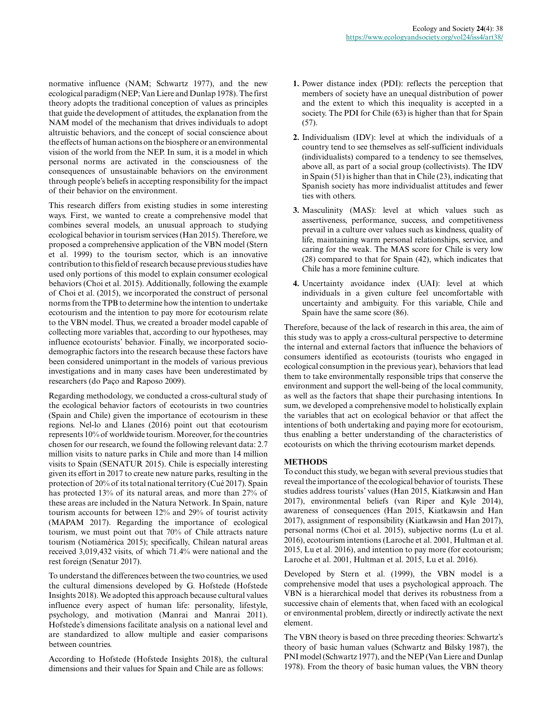normative influence (NAM; Schwartz 1977), and the new ecological paradigm (NEP; Van Liere and Dunlap 1978). The first theory adopts the traditional conception of values as principles that guide the development of attitudes, the explanation from the NAM model of the mechanism that drives individuals to adopt altruistic behaviors, and the concept of social conscience about the effects of human actions on the biosphere or an environmental vision of the world from the NEP. In sum, it is a model in which personal norms are activated in the consciousness of the consequences of unsustainable behaviors on the environment through people's beliefs in accepting responsibility for the impact of their behavior on the environment.

This research differs from existing studies in some interesting ways. First, we wanted to create a comprehensive model that combines several models, an unusual approach to studying ecological behavior in tourism services (Han 2015). Therefore, we proposed a comprehensive application of the VBN model (Stern et al. 1999) to the tourism sector, which is an innovative contribution to this field of research because previous studies have used only portions of this model to explain consumer ecological behaviors (Choi et al. 2015). Additionally, following the example of Choi et al. (2015), we incorporated the construct of personal norms from the TPB to determine how the intention to undertake ecotourism and the intention to pay more for ecotourism relate to the VBN model. Thus, we created a broader model capable of collecting more variables that, according to our hypotheses, may influence ecotourists' behavior. Finally, we incorporated sociodemographic factors into the research because these factors have been considered unimportant in the models of various previous investigations and in many cases have been underestimated by researchers (do Paço and Raposo 2009).

Regarding methodology, we conducted a cross-cultural study of the ecological behavior factors of ecotourists in two countries (Spain and Chile) given the importance of ecotourism in these regions. Nel-lo and Llanes (2016) point out that ecotourism represents 10% of worldwide tourism. Moreover, for the countries chosen for our research, we found the following relevant data: 2.7 million visits to nature parks in Chile and more than 14 million visits to Spain (SENATUR 2015). Chile is especially interesting given its effort in 2017 to create new nature parks, resulting in the protection of 20% of its total national territory (Cué 2017). Spain has protected 13% of its natural areas, and more than 27% of these areas are included in the Natura Network. In Spain, nature tourism accounts for between 12% and 29% of tourist activity (MAPAM 2017). Regarding the importance of ecological tourism, we must point out that 70% of Chile attracts nature tourism (Notiamérica 2015); specifically, Chilean natural areas received 3,019,432 visits, of which 71.4% were national and the rest foreign (Senatur 2017).

To understand the differences between the two countries, we used the cultural dimensions developed by G. Hofstede (Hofstede Insights 2018). We adopted this approach because cultural values influence every aspect of human life: personality, lifestyle, psychology, and motivation (Manrai and Manrai 2011). Hofstede's dimensions facilitate analysis on a national level and are standardized to allow multiple and easier comparisons between countries.

According to Hofstede (Hofstede Insights 2018), the cultural dimensions and their values for Spain and Chile are as follows:

- **1.** Power distance index (PDI): reflects the perception that members of society have an unequal distribution of power and the extent to which this inequality is accepted in a society. The PDI for Chile (63) is higher than that for Spain (57).
- **2.** Individualism (IDV): level at which the individuals of a country tend to see themselves as self-sufficient individuals (individualists) compared to a tendency to see themselves, above all, as part of a social group (collectivists). The IDV in Spain (51) is higher than that in Chile (23), indicating that Spanish society has more individualist attitudes and fewer ties with others.
- **3.** Masculinity (MAS): level at which values such as assertiveness, performance, success, and competitiveness prevail in a culture over values such as kindness, quality of life, maintaining warm personal relationships, service, and caring for the weak. The MAS score for Chile is very low (28) compared to that for Spain (42), which indicates that Chile has a more feminine culture.
- **4.** Uncertainty avoidance index (UAI): level at which individuals in a given culture feel uncomfortable with uncertainty and ambiguity. For this variable, Chile and Spain have the same score (86).

Therefore, because of the lack of research in this area, the aim of this study was to apply a cross-cultural perspective to determine the internal and external factors that influence the behaviors of consumers identified as ecotourists (tourists who engaged in ecological consumption in the previous year), behaviors that lead them to take environmentally responsible trips that conserve the environment and support the well-being of the local community, as well as the factors that shape their purchasing intentions. In sum, we developed a comprehensive model to holistically explain the variables that act on ecological behavior or that affect the intentions of both undertaking and paying more for ecotourism, thus enabling a better understanding of the characteristics of ecotourists on which the thriving ecotourism market depends.

# **METHODS**

To conduct this study, we began with several previous studies that reveal the importance of the ecological behavior of tourists. These studies address tourists' values (Han 2015, Kiatkawsin and Han 2017), environmental beliefs (van Riper and Kyle 2014), awareness of consequences (Han 2015, Kiatkawsin and Han 2017), assignment of responsibility (Kiatkawsin and Han 2017), personal norms (Choi et al. 2015), subjective norms (Lu et al. 2016), ecotourism intentions (Laroche et al. 2001, Hultman et al. 2015, Lu et al. 2016), and intention to pay more (for ecotourism; Laroche et al. 2001, Hultman et al. 2015, Lu et al. 2016).

Developed by Stern et al. (1999), the VBN model is a comprehensive model that uses a psychological approach. The VBN is a hierarchical model that derives its robustness from a successive chain of elements that, when faced with an ecological or environmental problem, directly or indirectly activate the next element.

The VBN theory is based on three preceding theories: Schwartz's theory of basic human values (Schwartz and Bilsky 1987), the PNI model (Schwartz 1977), and the NEP (Van Liere and Dunlap 1978). From the theory of basic human values, the VBN theory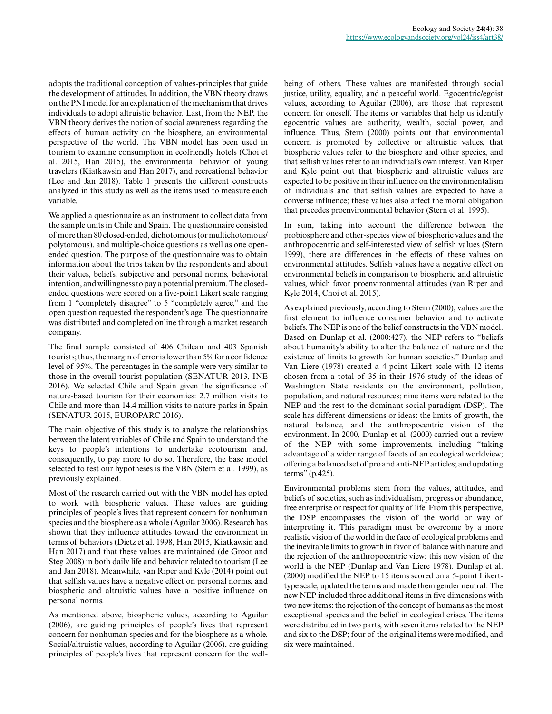adopts the traditional conception of values-principles that guide the development of attitudes. In addition, the VBN theory draws on the PNI model for an explanation of the mechanism that drives individuals to adopt altruistic behavior. Last, from the NEP, the VBN theory derives the notion of social awareness regarding the effects of human activity on the biosphere, an environmental perspective of the world. The VBN model has been used in tourism to examine consumption in ecofriendly hotels (Choi et al. 2015, Han 2015), the environmental behavior of young travelers (Kiatkawsin and Han 2017), and recreational behavior (Lee and Jan 2018). Table 1 presents the different constructs analyzed in this study as well as the items used to measure each variable.

We applied a questionnaire as an instrument to collect data from the sample units in Chile and Spain. The questionnaire consisted of more than 80 closed-ended, dichotomous (or multichotomous/ polytomous), and multiple-choice questions as well as one openended question. The purpose of the questionnaire was to obtain information about the trips taken by the respondents and about their values, beliefs, subjective and personal norms, behavioral intention, and willingness to pay a potential premium. The closedended questions were scored on a five-point Likert scale ranging from 1 "completely disagree" to 5 "completely agree," and the open question requested the respondent's age. The questionnaire was distributed and completed online through a market research company.

The final sample consisted of 406 Chilean and 403 Spanish tourists; thus, the margin of error is lower than 5% for a confidence level of 95%. The percentages in the sample were very similar to those in the overall tourist population (SENATUR 2013, INE 2016). We selected Chile and Spain given the significance of nature-based tourism for their economies: 2.7 million visits to Chile and more than 14.4 million visits to nature parks in Spain (SENATUR 2015, EUROPARC 2016).

The main objective of this study is to analyze the relationships between the latent variables of Chile and Spain to understand the keys to people's intentions to undertake ecotourism and, consequently, to pay more to do so. Therefore, the base model selected to test our hypotheses is the VBN (Stern et al. 1999), as previously explained.

Most of the research carried out with the VBN model has opted to work with biospheric values. These values are guiding principles of people's lives that represent concern for nonhuman species and the biosphere as a whole (Aguilar 2006). Research has shown that they influence attitudes toward the environment in terms of behaviors (Dietz et al. 1998, Han 2015, Kiatkawsin and Han 2017) and that these values are maintained (de Groot and Steg 2008) in both daily life and behavior related to tourism (Lee and Jan 2018). Meanwhile, van Riper and Kyle (2014) point out that selfish values have a negative effect on personal norms, and biospheric and altruistic values have a positive influence on personal norms.

As mentioned above, biospheric values, according to Aguilar (2006), are guiding principles of people's lives that represent concern for nonhuman species and for the biosphere as a whole. Social/altruistic values, according to Aguilar (2006), are guiding principles of people's lives that represent concern for the wellbeing of others. These values are manifested through social justice, utility, equality, and a peaceful world. Egocentric/egoist values, according to Aguilar (2006), are those that represent concern for oneself. The items or variables that help us identify egocentric values are authority, wealth, social power, and influence. Thus, Stern (2000) points out that environmental concern is promoted by collective or altruistic values, that biospheric values refer to the biosphere and other species, and that selfish values refer to an individual's own interest. Van Riper and Kyle point out that biospheric and altruistic values are expected to be positive in their influence on the environmentalism of individuals and that selfish values are expected to have a converse influence; these values also affect the moral obligation that precedes proenvironmental behavior (Stern et al. 1995).

In sum, taking into account the difference between the probiosphere and other-species view of biospheric values and the anthropocentric and self-interested view of selfish values (Stern 1999), there are differences in the effects of these values on environmental attitudes. Selfish values have a negative effect on environmental beliefs in comparison to biospheric and altruistic values, which favor proenvironmental attitudes (van Riper and Kyle 2014, Choi et al. 2015).

As explained previously, according to Stern (2000), values are the first element to influence consumer behavior and to activate beliefs. The NEP is one of the belief constructs in the VBN model. Based on Dunlap et al. (2000:427), the NEP refers to "beliefs about humanity's ability to alter the balance of nature and the existence of limits to growth for human societies." Dunlap and Van Liere (1978) created a 4-point Likert scale with 12 items chosen from a total of 35 in their 1976 study of the ideas of Washington State residents on the environment, pollution, population, and natural resources; nine items were related to the NEP and the rest to the dominant social paradigm (DSP). The scale has different dimensions or ideas: the limits of growth, the natural balance, and the anthropocentric vision of the environment. In 2000, Dunlap et al. (2000) carried out a review of the NEP with some improvements, including "taking advantage of a wider range of facets of an ecological worldview; offering a balanced set of pro and anti-NEP articles; and updating terms" (p.425).

Environmental problems stem from the values, attitudes, and beliefs of societies, such as individualism, progress or abundance, free enterprise or respect for quality of life. From this perspective, the DSP encompasses the vision of the world or way of interpreting it. This paradigm must be overcome by a more realistic vision of the world in the face of ecological problems and the inevitable limits to growth in favor of balance with nature and the rejection of the anthropocentric view; this new vision of the world is the NEP (Dunlap and Van Liere 1978). Dunlap et al. (2000) modified the NEP to 15 items scored on a 5-point Likerttype scale, updated the terms and made them gender neutral. The new NEP included three additional items in five dimensions with two new items: the rejection of the concept of humans as the most exceptional species and the belief in ecological crises. The items were distributed in two parts, with seven items related to the NEP and six to the DSP; four of the original items were modified, and six were maintained.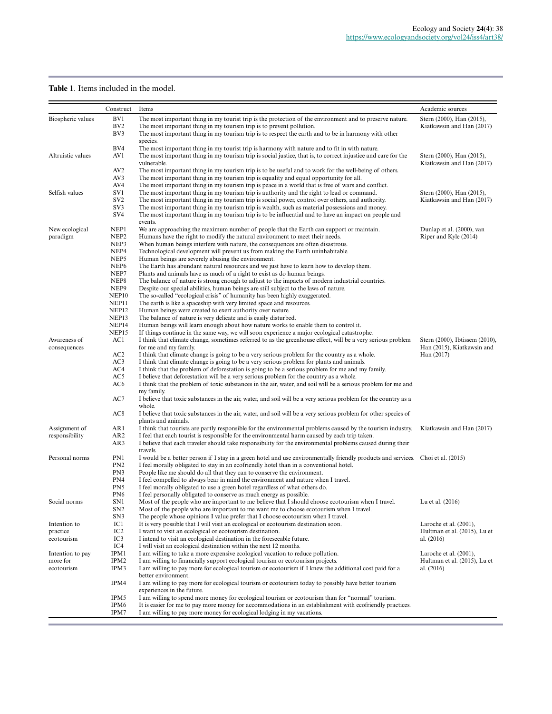# **Table 1**. Items included in the model.

|                              | Construct                  | Items                                                                                                                                                                                                  | Academic sources                                       |
|------------------------------|----------------------------|--------------------------------------------------------------------------------------------------------------------------------------------------------------------------------------------------------|--------------------------------------------------------|
| Biospheric values            | BV1                        | The most important thing in my tourist trip is the protection of the environment and to preserve nature.                                                                                               | Stern (2000), Han (2015),                              |
|                              | BV <sub>2</sub>            | The most important thing in my tourism trip is to prevent pollution.                                                                                                                                   | Kiatkawsin and Han (2017)                              |
|                              | BV3                        | The most important thing in my tourism trip is to respect the earth and to be in harmony with other<br>species.                                                                                        |                                                        |
|                              | BV4                        | The most important thing in my tourist trip is harmony with nature and to fit in with nature.                                                                                                          |                                                        |
| Altruistic values            | AV1                        | The most important thing in my tourism trip is social justice, that is, to correct injustice and care for the                                                                                          | Stern (2000), Han (2015),                              |
|                              |                            | vulnerable.                                                                                                                                                                                            | Kiatkawsin and Han (2017)                              |
|                              | AV2<br>AV3                 | The most important thing in my tourism trip is to be useful and to work for the well-being of others.<br>The most important thing in my tourism trip is equality and equal opportunity for all.        |                                                        |
|                              | AV4                        | The most important thing in my tourism trip is peace in a world that is free of wars and conflict.                                                                                                     |                                                        |
| Selfish values               | SV1                        | The most important thing in my tourism trip is authority and the right to lead or command.                                                                                                             | Stern (2000), Han (2015),                              |
|                              | SV <sub>2</sub>            | The most important thing in my tourism trip is social power, control over others, and authority.                                                                                                       | Kiatkawsin and Han (2017)                              |
|                              | SV3<br>SV4                 | The most important thing in my tourism trip is wealth, such as material possessions and money.<br>The most important thing in my tourism trip is to be influential and to have an impact on people and |                                                        |
|                              |                            | events.                                                                                                                                                                                                |                                                        |
| New ecological               | NEP1                       | We are approaching the maximum number of people that the Earth can support or maintain.                                                                                                                | Dunlap et al. (2000), van                              |
| paradigm                     | NEP <sub>2</sub>           | Humans have the right to modify the natural environment to meet their needs.                                                                                                                           | Riper and Kyle (2014)                                  |
|                              | NEP3<br>NEP4               | When human beings interfere with nature, the consequences are often disastrous.                                                                                                                        |                                                        |
|                              | NEP <sub>5</sub>           | Technological development will prevent us from making the Earth uninhabitable.<br>Human beings are severely abusing the environment.                                                                   |                                                        |
|                              | NEP <sub>6</sub>           | The Earth has abundant natural resources and we just have to learn how to develop them.                                                                                                                |                                                        |
|                              | NEP7                       | Plants and animals have as much of a right to exist as do human beings.                                                                                                                                |                                                        |
|                              | NEP8<br>NEP <sub>9</sub>   | The balance of nature is strong enough to adjust to the impacts of modern industrial countries.                                                                                                        |                                                        |
|                              | NEP <sub>10</sub>          | Despite our special abilities, human beings are still subject to the laws of nature.<br>The so-called "ecological crisis" of humanity has been highly exaggerated.                                     |                                                        |
|                              | NEP11                      | The earth is like a spaceship with very limited space and resources.                                                                                                                                   |                                                        |
|                              | NEP <sub>12</sub>          | Human beings were created to exert authority over nature.                                                                                                                                              |                                                        |
|                              | NEP13                      | The balance of nature is very delicate and is easily disturbed.                                                                                                                                        |                                                        |
|                              | NEP <sub>14</sub><br>NEP15 | Human beings will learn enough about how nature works to enable them to control it.<br>If things continue in the same way, we will soon experience a major ecological catastrophe.                     |                                                        |
| Awareness of                 | AC1                        | I think that climate change, sometimes referred to as the greenhouse effect, will be a very serious problem                                                                                            | Stern (2000), Ibtissem (2010),                         |
| consequences                 |                            | for me and my family.                                                                                                                                                                                  | Han (2015), Kiatkawsin and                             |
|                              | AC2                        | I think that climate change is going to be a very serious problem for the country as a whole.                                                                                                          | Han (2017)                                             |
|                              | AC <sub>3</sub><br>AC4     | I think that climate change is going to be a very serious problem for plants and animals.                                                                                                              |                                                        |
|                              | AC5                        | I think that the problem of deforestation is going to be a serious problem for me and my family.<br>I believe that deforestation will be a very serious problem for the country as a whole.            |                                                        |
|                              | AC <sub>6</sub>            | I think that the problem of toxic substances in the air, water, and soil will be a serious problem for me and                                                                                          |                                                        |
|                              |                            | my family.                                                                                                                                                                                             |                                                        |
|                              | AC7                        | I believe that toxic substances in the air, water, and soil will be a very serious problem for the country as a                                                                                        |                                                        |
|                              | AC <sub>8</sub>            | whole.<br>I believe that toxic substances in the air, water, and soil will be a very serious problem for other species of                                                                              |                                                        |
|                              |                            | plants and animals.                                                                                                                                                                                    |                                                        |
| Assignment of                | AR1                        | I think that tourists are partly responsible for the environmental problems caused by the tourism industry.                                                                                            | Kiatkawsin and Han (2017)                              |
| responsibility               | AR <sub>2</sub>            | I feel that each tourist is responsible for the environmental harm caused by each trip taken.                                                                                                          |                                                        |
|                              | AR3                        | I believe that each traveler should take responsibility for the environmental problems caused during their<br>travels.                                                                                 |                                                        |
| Personal norms               | PN1                        | I would be a better person if I stay in a green hotel and use environmentally friendly products and services. Choi et al. (2015)                                                                       |                                                        |
|                              | PN <sub>2</sub>            | I feel morally obligated to stay in an ecofriendly hotel than in a conventional hotel.                                                                                                                 |                                                        |
|                              | PN3                        | People like me should do all that they can to conserve the environment.                                                                                                                                |                                                        |
|                              | PN4<br>PN5                 | I feel compelled to always bear in mind the environment and nature when I travel.<br>I feel morally obligated to use a green hotel regardless of what others do.                                       |                                                        |
|                              | PN6                        | I feel personally obligated to conserve as much energy as possible.                                                                                                                                    |                                                        |
| Social norms                 | SN1                        | Most of the people who are important to me believe that I should choose ecotourism when I travel.                                                                                                      | Lu et al. (2016)                                       |
|                              | SN2                        | Most of the people who are important to me want me to choose ecotourism when I travel.                                                                                                                 |                                                        |
| Intention to                 | SN3<br>IC1                 | The people whose opinions I value prefer that I choose ecotourism when I travel.<br>It is very possible that I will visit an ecological or ecotourism destination soon.                                | Laroche et al. (2001),                                 |
| practice                     | IC <sub>2</sub>            | I want to visit an ecological or ecotourism destination.                                                                                                                                               | Hultman et al. (2015), Lu et                           |
| ecotourism                   | IC3                        | I intend to visit an ecological destination in the foreseeable future.                                                                                                                                 | al. $(2016)$                                           |
|                              | IC4                        | I will visit an ecological destination within the next 12 months.                                                                                                                                      |                                                        |
| Intention to pay<br>more for | IPM1<br>IPM <sub>2</sub>   | I am willing to take a more expensive ecological vacation to reduce pollution.<br>I am willing to financially support ecological tourism or ecotourism projects.                                       | Laroche et al. (2001),<br>Hultman et al. (2015), Lu et |
| ecotourism                   | IPM3                       | I am willing to pay more for ecological tourism or ecotourism if I knew the additional cost paid for a                                                                                                 | al. $(2016)$                                           |
|                              |                            | better environment.                                                                                                                                                                                    |                                                        |
|                              | IPM4                       | I am willing to pay more for ecological tourism or ecotourism today to possibly have better tourism                                                                                                    |                                                        |
|                              | IPM5                       | experiences in the future.<br>I am willing to spend more money for ecological tourism or ecotourism than for "normal" tourism.                                                                         |                                                        |
|                              | IPM <sub>6</sub>           | It is easier for me to pay more money for accommodations in an establishment with ecofriendly practices.                                                                                               |                                                        |
|                              | IPM7                       | I am willing to pay more money for ecological lodging in my vacations.                                                                                                                                 |                                                        |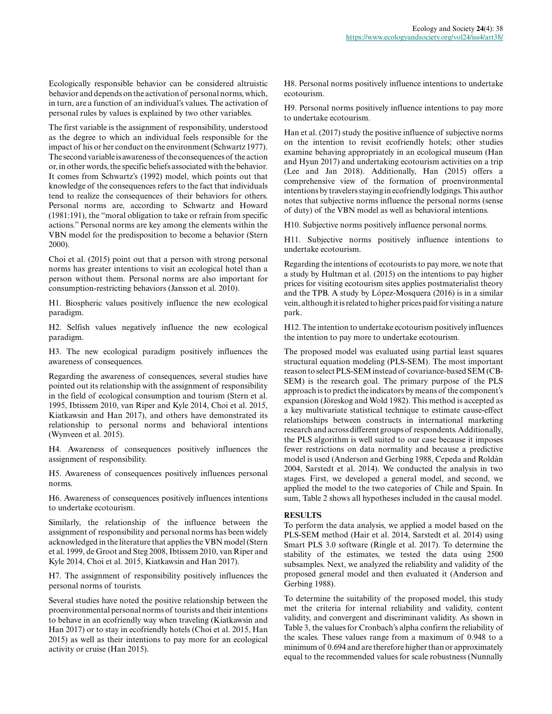Ecologically responsible behavior can be considered altruistic behavior and depends on the activation of personal norms, which, in turn, are a function of an individual's values. The activation of personal rules by values is explained by two other variables.

The first variable is the assignment of responsibility, understood as the degree to which an individual feels responsible for the impact of his or her conduct on the environment (Schwartz 1977). The second variable is awareness of the consequences of the action or, in other words, the specific beliefs associated with the behavior. It comes from Schwartz's (1992) model, which points out that knowledge of the consequences refers to the fact that individuals tend to realize the consequences of their behaviors for others. Personal norms are, according to Schwartz and Howard (1981:191), the "moral obligation to take or refrain from specific actions." Personal norms are key among the elements within the VBN model for the predisposition to become a behavior (Stern 2000).

Choi et al. (2015) point out that a person with strong personal norms has greater intentions to visit an ecological hotel than a person without them. Personal norms are also important for consumption-restricting behaviors (Jansson et al. 2010).

H1. Biospheric values positively influence the new ecological paradigm.

H2. Selfish values negatively influence the new ecological paradigm.

H3. The new ecological paradigm positively influences the awareness of consequences.

Regarding the awareness of consequences, several studies have pointed out its relationship with the assignment of responsibility in the field of ecological consumption and tourism (Stern et al. 1995, Ibtissem 2010, van Riper and Kyle 2014, Choi et al. 2015, Kiatkawsin and Han 2017), and others have demonstrated its relationship to personal norms and behavioral intentions (Wynveen et al. 2015).

H4. Awareness of consequences positively influences the assignment of responsibility.

H5. Awareness of consequences positively influences personal norms.

H6. Awareness of consequences positively influences intentions to undertake ecotourism.

Similarly, the relationship of the influence between the assignment of responsibility and personal norms has been widely acknowledged in the literature that applies the VBN model (Stern et al. 1999, de Groot and Steg 2008, Ibtissem 2010, van Riper and Kyle 2014, Choi et al. 2015, Kiatkawsin and Han 2017).

H7. The assignment of responsibility positively influences the personal norms of tourists.

Several studies have noted the positive relationship between the proenvironmental personal norms of tourists and their intentions to behave in an ecofriendly way when traveling (Kiatkawsin and Han 2017) or to stay in ecofriendly hotels (Choi et al. 2015, Han 2015) as well as their intentions to pay more for an ecological activity or cruise (Han 2015).

H8. Personal norms positively influence intentions to undertake ecotourism.

H9. Personal norms positively influence intentions to pay more to undertake ecotourism.

Han et al. (2017) study the positive influence of subjective norms on the intention to revisit ecofriendly hotels; other studies examine behaving appropriately in an ecological museum (Han and Hyun 2017) and undertaking ecotourism activities on a trip (Lee and Jan 2018). Additionally, Han (2015) offers a comprehensive view of the formation of proenvironmental intentions by travelers staying in ecofriendly lodgings. This author notes that subjective norms influence the personal norms (sense of duty) of the VBN model as well as behavioral intentions.

H10. Subjective norms positively influence personal norms.

H11. Subjective norms positively influence intentions to undertake ecotourism.

Regarding the intentions of ecotourists to pay more, we note that a study by Hultman et al. (2015) on the intentions to pay higher prices for visiting ecotourism sites applies postmaterialist theory and the TPB. A study by López-Mosquera (2016) is in a similar vein, although it is related to higher prices paid for visiting a nature park.

H12. The intention to undertake ecotourism positively influences the intention to pay more to undertake ecotourism.

The proposed model was evaluated using partial least squares structural equation modeling (PLS-SEM). The most important reason to select PLS-SEM instead of covariance-based SEM (CB-SEM) is the research goal. The primary purpose of the PLS approach is to predict the indicators by means of the component's expansion (Jöreskog and Wold 1982). This method is accepted as a key multivariate statistical technique to estimate cause-effect relationships between constructs in international marketing research and across different groups of respondents. Additionally, the PLS algorithm is well suited to our case because it imposes fewer restrictions on data normality and because a predictive model is used (Anderson and Gerbing 1988, Cepeda and Roldán 2004, Sarstedt et al. 2014). We conducted the analysis in two stages. First, we developed a general model, and second, we applied the model to the two categories of Chile and Spain. In sum, Table 2 shows all hypotheses included in the causal model.

## **RESULTS**

To perform the data analysis, we applied a model based on the PLS-SEM method (Hair et al. 2014, Sarstedt et al. 2014) using Smart PLS 3.0 software (Ringle et al. 2017). To determine the stability of the estimates, we tested the data using 2500 subsamples. Next, we analyzed the reliability and validity of the proposed general model and then evaluated it (Anderson and Gerbing 1988).

To determine the suitability of the proposed model, this study met the criteria for internal reliability and validity, content validity, and convergent and discriminant validity. As shown in Table 3, the values for Cronbach's alpha confirm the reliability of the scales. These values range from a maximum of 0.948 to a minimum of 0.694 and are therefore higher than or approximately equal to the recommended values for scale robustness (Nunnally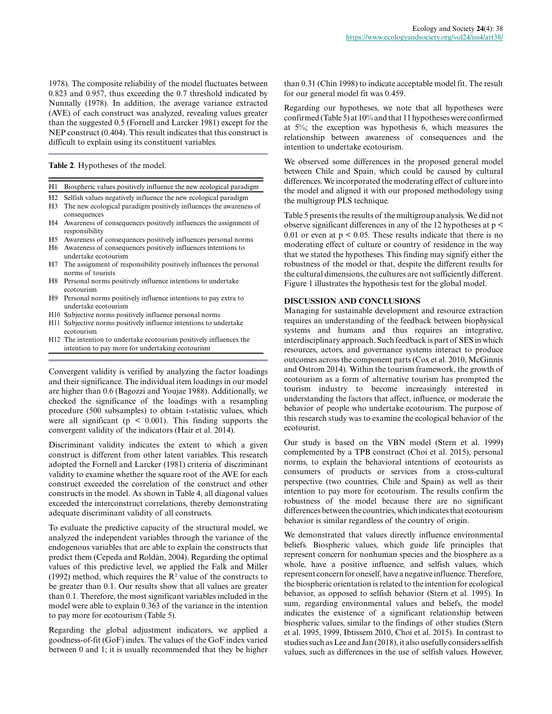1978). The composite reliability of the model fluctuates between 0.823 and 0.957, thus exceeding the 0.7 threshold indicated by Nunnally (1978). In addition, the average variance extracted (AVE) of each construct was analyzed, revealing values greater than the suggested 0.5 (Fornell and Larcker 1981) except for the NEP construct (0.404). This result indicates that this construct is difficult to explain using its constituent variables.

**Table 2**. Hypotheses of the model.

|  |  | H1 Biospheric values positively influence the new ecological paradigm |
|--|--|-----------------------------------------------------------------------|
|  |  |                                                                       |

- H2 Selfish values negatively influence the new ecological paradigm
- H3 The new ecological paradigm positively influences the awareness of consequences
- H4 Awareness of consequences positively influences the assignment of responsibility
- H5 Awareness of consequences positively influences personal norms
- H6 Awareness of consequences positively influences intentions to undertake ecotourism
- H7 The assignment of responsibility positively influences the personal norms of tourists
- H8 Personal norms positively influence intentions to undertake ecotourism
- H9 Personal norms positively influence intentions to pay extra to undertake ecotourism
- H10 Subjective norms positively influence personal norms
- H11 Subjective norms positively influence intentions to undertake ecotourism
- H12 The intention to undertake ecotourism positively influences the intention to pay more for undertaking ecotourism

Convergent validity is verified by analyzing the factor loadings and their significance. The individual item loadings in our model are higher than 0.6 (Bagozzi and Youjae 1988). Additionally, we checked the significance of the loadings with a resampling procedure (500 subsamples) to obtain t-statistic values, which were all significant ( $p \leq 0.001$ ). This finding supports the convergent validity of the indicators (Hair et al. 2014).

Discriminant validity indicates the extent to which a given construct is different from other latent variables. This research adopted the Fornell and Larcker (1981) criteria of discriminant validity to examine whether the square root of the AVE for each construct exceeded the correlation of the construct and other constructs in the model. As shown in Table 4, all diagonal values exceeded the interconstruct correlations, thereby demonstrating adequate discriminant validity of all constructs.

To evaluate the predictive capacity of the structural model, we analyzed the independent variables through the variance of the endogenous variables that are able to explain the constructs that predict them (Cepeda and Roldán, 2004). Regarding the optimal values of this predictive level, we applied the Falk and Miller (1992) method, which requires the  $R<sup>2</sup>$  value of the constructs to be greater than 0.1. Our results show that all values are greater than 0.1. Therefore, the most significant variables included in the model were able to explain 0.363 of the variance in the intention to pay more for ecotourism (Table 5).

Regarding the global adjustment indicators, we applied a goodness-of-fit (GoF) index. The values of the GoF index varied between 0 and 1; it is usually recommended that they be higher than 0.31 (Chin 1998) to indicate acceptable model fit. The result for our general model fit was 0.459.

Regarding our hypotheses, we note that all hypotheses were confirmed (Table 5) at 10% and that 11 hypotheses were confirmed at 5%; the exception was hypothesis 6, which measures the relationship between awareness of consequences and the intention to undertake ecotourism.

We observed some differences in the proposed general model between Chile and Spain, which could be caused by cultural differences. We incorporated the moderating effect of culture into the model and aligned it with our proposed methodology using the multigroup PLS technique.

Table 5 presents the results of the multigroup analysis. We did not observe significant differences in any of the 12 hypotheses at p < 0.01 or even at  $p < 0.05$ . These results indicate that there is no moderating effect of culture or country of residence in the way that we stated the hypotheses. This finding may signify either the robustness of the model or that, despite the different results for the cultural dimensions, the cultures are not sufficiently different. Figure 1 illustrates the hypothesis test for the global model.

#### **DISCUSSION AND CONCLUSIONS**

Managing for sustainable development and resource extraction requires an understanding of the feedback between biophysical systems and humans and thus requires an integrative, interdisciplinary approach. Such feedback is part of SES in which resources, actors, and governance systems interact to produce outcomes across the component parts (Cox et al. 2010, McGinnis and Ostrom 2014). Within the tourism framework, the growth of ecotourism as a form of alternative tourism has prompted the tourism industry to become increasingly interested in understanding the factors that affect, influence, or moderate the behavior of people who undertake ecotourism. The purpose of this research study was to examine the ecological behavior of the ecotourist.

Our study is based on the VBN model (Stern et al. 1999) complemented by a TPB construct (Choi et al. 2015), personal norms, to explain the behavioral intentions of ecotourists as consumers of products or services from a cross-cultural perspective (two countries, Chile and Spain) as well as their intention to pay more for ecotourism. The results confirm the robustness of the model because there are no significant differences between the countries, which indicates that ecotourism behavior is similar regardless of the country of origin.

We demonstrated that values directly influence environmental beliefs. Biospheric values, which guide life principles that represent concern for nonhuman species and the biosphere as a whole, have a positive influence, and selfish values, which represent concern for oneself, have a negative influence. Therefore, the biospheric orientation is related to the intention for ecological behavior, as opposed to selfish behavior (Stern et al. 1995). In sum, regarding environmental values and beliefs, the model indicates the existence of a significant relationship between biospheric values, similar to the findings of other studies (Stern et al. 1995, 1999, Ibtissem 2010, Choi et al. 2015). In contrast to studies such as Lee and Jan (2018), it also usefully considers selfish values, such as differences in the use of selfish values. However,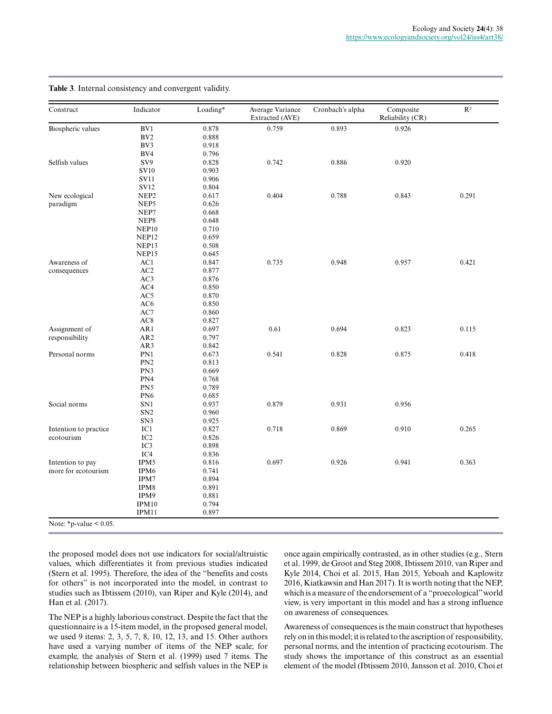| Construct                 | Indicator              | Loading*       | Average Variance<br>Extracted (AVE) | Cronbach's alpha | Composite<br>Reliability (CR) | $\mathbb{R}^2$ |
|---------------------------|------------------------|----------------|-------------------------------------|------------------|-------------------------------|----------------|
| Biospheric values         | BV1                    | 0.878          | 0.759                               | 0.893            | 0.926                         |                |
|                           | BV <sub>2</sub>        | 0.888          |                                     |                  |                               |                |
|                           | BV3                    | 0.918          |                                     |                  |                               |                |
|                           | BV4                    | 0.796          |                                     |                  |                               |                |
| Selfish values            | SV9                    | 0.828          | 0.742                               | 0.886            | 0.920                         |                |
|                           | <b>SV10</b>            | 0.903          |                                     |                  |                               |                |
|                           | SV11                   | 0.906          |                                     |                  |                               |                |
|                           | SV12                   | 0.804          |                                     |                  |                               |                |
| New ecological            | NEP <sub>2</sub>       | 0.617          | 0.404                               | 0.788            | 0.843                         | 0.291          |
| paradigm                  | NEP <sub>5</sub>       | 0.626          |                                     |                  |                               |                |
|                           | NEP7                   | 0.668          |                                     |                  |                               |                |
|                           | NEP8                   | 0.648          |                                     |                  |                               |                |
|                           | NEP <sub>10</sub>      | 0.710          |                                     |                  |                               |                |
|                           | NEP <sub>12</sub>      | 0.659          |                                     |                  |                               |                |
|                           | NEP13                  | 0.508          |                                     |                  |                               |                |
|                           | NEP <sub>15</sub>      | 0.645          |                                     |                  |                               |                |
| Awareness of              | AC1                    | 0.847          | 0.735                               | 0.948            | 0.957                         | 0.421          |
| consequences              | AC2                    | 0.877          |                                     |                  |                               |                |
|                           | AC3                    | 0.876          |                                     |                  |                               |                |
|                           | AC4                    | 0.850          |                                     |                  |                               |                |
|                           | AC5                    | 0.870          |                                     |                  |                               |                |
|                           | AC <sub>6</sub>        | 0.850          |                                     |                  |                               |                |
|                           | AC7                    | 0.860          |                                     |                  |                               |                |
|                           | AC <sub>8</sub>        | 0.827          |                                     |                  |                               |                |
| Assignment of             | AR1                    | 0.697          | 0.61                                | 0.694            | 0.823                         | 0.115          |
| responsibility            | AR <sub>2</sub>        | 0.797          |                                     |                  |                               |                |
|                           | AR3                    | 0.842          |                                     |                  |                               |                |
|                           |                        |                |                                     |                  |                               |                |
| Personal norms            | PN1<br>PN <sub>2</sub> | 0.673<br>0.813 | 0.541                               | 0.828            | 0.875                         | 0.418          |
|                           | PN3                    |                |                                     |                  |                               |                |
|                           |                        | 0.669          |                                     |                  |                               |                |
|                           | PN4                    | 0.768          |                                     |                  |                               |                |
|                           | PN5                    | 0.789          |                                     |                  |                               |                |
|                           | PN <sub>6</sub>        | 0.685          |                                     |                  |                               |                |
| Social norms              | ${\rm SN1}$            | 0.937          | 0.879                               | 0.931            | 0.956                         |                |
|                           | SN <sub>2</sub>        | 0.960          |                                     |                  |                               |                |
|                           | SN <sub>3</sub>        | 0.925          |                                     |                  |                               |                |
| Intention to practice     | IC1                    | 0.827          | 0.718                               | 0.869            | 0.910                         | 0.265          |
| ecotourism                | IC <sub>2</sub>        | 0.826          |                                     |                  |                               |                |
|                           | IC <sub>3</sub>        | 0.898          |                                     |                  |                               |                |
|                           | IC4                    | 0.836          |                                     |                  |                               |                |
| Intention to pay          | IPM5                   | 0.816          | 0.697                               | 0.926            | 0.941                         | 0.363          |
| more for ecotourism       | IPM6                   | 0.741          |                                     |                  |                               |                |
|                           | IPM7                   | 0.894          |                                     |                  |                               |                |
|                           | IPM8                   | 0.891          |                                     |                  |                               |                |
|                           | IPM9                   | 0.881          |                                     |                  |                               |                |
|                           | IPM10                  | 0.794          |                                     |                  |                               |                |
|                           | IPM11                  | 0.897          |                                     |                  |                               |                |
| Note: *p-value $< 0.05$ . |                        |                |                                     |                  |                               |                |

## **Table 3**. Internal consistency and convergent validity.

the proposed model does not use indicators for social/altruistic values, which differentiates it from previous studies indicated (Stern et al. 1995). Therefore, the idea of the "benefits and costs for others" is not incorporated into the model, in contrast to studies such as Ibtissem (2010), van Riper and Kyle (2014), and Han et al. (2017).

The NEP is a highly laborious construct. Despite the fact that the questionnaire is a 15-item model, in the proposed general model, we used 9 items: 2, 3, 5, 7, 8, 10, 12, 13, and 15. Other authors have used a varying number of items of the NEP scale; for example, the analysis of Stern et al. (1999) used 7 items. The relationship between biospheric and selfish values in the NEP is

once again empirically contrasted, as in other studies (e.g., Stern et al. 1999, de Groot and Steg 2008, Ibtissem 2010, van Riper and Kyle 2014, Choi et al. 2015, Han 2015, Yeboah and Kaplowitz 2016, Kiatkawsin and Han 2017). It is worth noting that the NEP, which is a measure of the endorsement of a "proecological" world view, is very important in this model and has a strong influence on awareness of consequences.

Awareness of consequences is the main construct that hypotheses rely on in this model; it is related to the ascription of responsibility, personal norms, and the intention of practicing ecotourism. The study shows the importance of this construct as an essential element of the model (Ibtissem 2010, Jansson et al. 2010, Choi et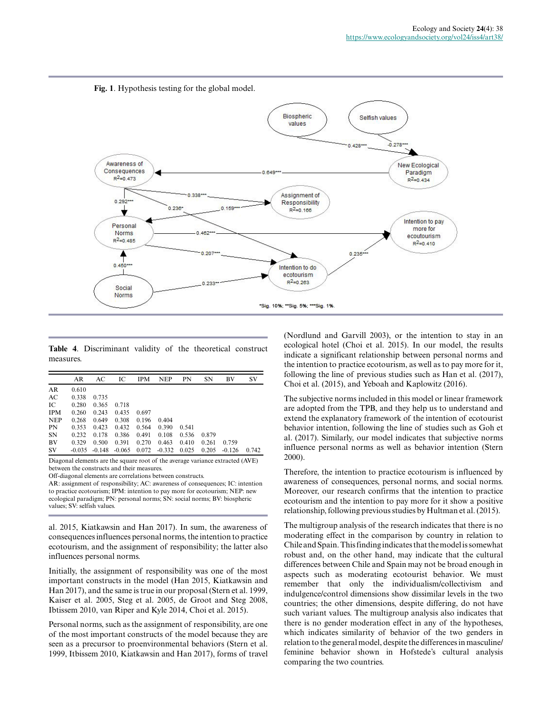

**Fig. 1**. Hypothesis testing for the global model.

**Table 4**. Discriminant validity of the theoretical construct measures.

|            | AR       | AС       | IC       | <b>IPM</b> | NEP      | PN    | SΝ    | BV       | SV    |
|------------|----------|----------|----------|------------|----------|-------|-------|----------|-------|
| AR         | 0.610    |          |          |            |          |       |       |          |       |
| AC         | 0.338    | 0.735    |          |            |          |       |       |          |       |
| IC         | 0.280    | 0.365    | 0.718    |            |          |       |       |          |       |
| <b>IPM</b> | 0.260    | 0.243    | 0.435    | 0.697      |          |       |       |          |       |
| <b>NEP</b> | 0.268    | 0.649    | 0.308    | 0.196      | 0.404    |       |       |          |       |
| PN         | 0.353    | 0.423    | 0.432    | 0.564      | 0.390    | 0.541 |       |          |       |
| <b>SN</b>  | 0.232    | 0.178    | 0.386    | 0.491      | 0.108    | 0.536 | 0.879 |          |       |
| BV         | 0.329    | 0.500    | 0.391    | 0.270      | 0.463    | 0.410 | 0.261 | 0.759    |       |
| SV         | $-0.035$ | $-0.148$ | $-0.065$ | 0.072      | $-0.332$ | 0.025 | 0.205 | $-0.126$ | 0.742 |

Diagonal elements are the square root of the average variance extracted (AVE) between the constructs and their measures.

Off-diagonal elements are correlations between constructs.

AR: assignment of responsibility; AC: awareness of consequences; IC: intention to practice ecotourism; IPM: intention to pay more for ecotourism; NEP: new ecological paradigm; PN: personal norms; SN: social norms; BV: biospheric values; SV: selfish values.

al. 2015, Kiatkawsin and Han 2017). In sum, the awareness of consequences influences personal norms, the intention to practice ecotourism, and the assignment of responsibility; the latter also influences personal norms.

Initially, the assignment of responsibility was one of the most important constructs in the model (Han 2015, Kiatkawsin and Han 2017), and the same is true in our proposal (Stern et al. 1999, Kaiser et al. 2005, Steg et al. 2005, de Groot and Steg 2008, Ibtissem 2010, van Riper and Kyle 2014, Choi et al. 2015).

Personal norms, such as the assignment of responsibility, are one of the most important constructs of the model because they are seen as a precursor to proenvironmental behaviors (Stern et al. 1999, Itbissem 2010, Kiatkawsin and Han 2017), forms of travel (Nordlund and Garvill 2003), or the intention to stay in an ecological hotel (Choi et al. 2015). In our model, the results indicate a significant relationship between personal norms and the intention to practice ecotourism, as well as to pay more for it, following the line of previous studies such as Han et al. (2017), Choi et al. (2015), and Yeboah and Kaplowitz (2016).

The subjective norms included in this model or linear framework are adopted from the TPB, and they help us to understand and extend the explanatory framework of the intention of ecotourist behavior intention, following the line of studies such as Goh et al. (2017). Similarly, our model indicates that subjective norms influence personal norms as well as behavior intention (Stern 2000).

Therefore, the intention to practice ecotourism is influenced by awareness of consequences, personal norms, and social norms. Moreover, our research confirms that the intention to practice ecotourism and the intention to pay more for it show a positive relationship, following previous studies by Hultman et al. (2015).

The multigroup analysis of the research indicates that there is no moderating effect in the comparison by country in relation to Chile and Spain. This finding indicates that the model is somewhat robust and, on the other hand, may indicate that the cultural differences between Chile and Spain may not be broad enough in aspects such as moderating ecotourist behavior. We must remember that only the individualism/collectivism and indulgence/control dimensions show dissimilar levels in the two countries; the other dimensions, despite differing, do not have such variant values. The multigroup analysis also indicates that there is no gender moderation effect in any of the hypotheses, which indicates similarity of behavior of the two genders in relation to the general model, despite the differences in masculine/ feminine behavior shown in Hofstede's cultural analysis comparing the two countries.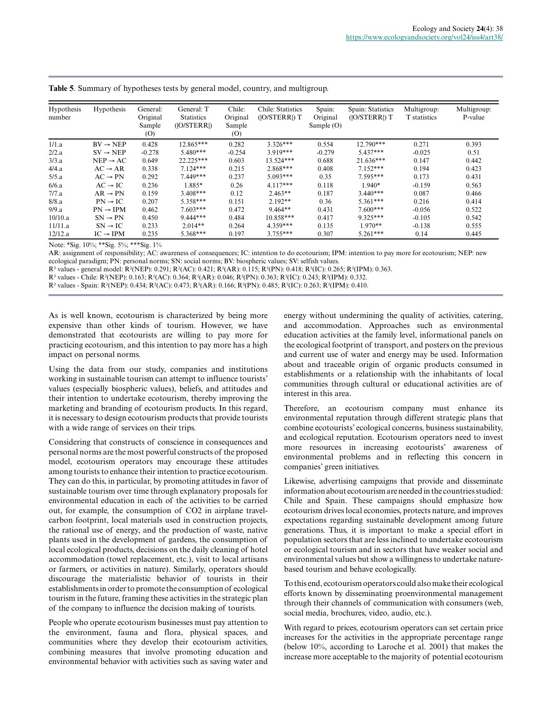| <b>Hypothesis</b><br>number | Hypothesis           | General:<br>Original<br>Sample<br>(O) | General: T<br><b>Statistics</b><br>( O/STERR ) | Chile:<br>Original<br>Sample<br>(O) | Chile: Statistics<br>( O/STERR )T | Spain:<br>Original<br>Sample $(O)$ | Spain: Statistics<br>( O/STERR )T | Multigroup:<br>T statistics | Multigroup:<br>P-value |
|-----------------------------|----------------------|---------------------------------------|------------------------------------------------|-------------------------------------|-----------------------------------|------------------------------------|-----------------------------------|-----------------------------|------------------------|
| 1/1.a                       | $BV \rightarrow NEP$ | 0.428                                 | 12.865***                                      | 0.282                               | $3.326***$                        | 0.554                              | $12.790***$                       | 0.271                       | 0.393                  |
| 2/2.a                       | $SV \rightarrow NEP$ | $-0.278$                              | $5.480***$                                     | $-0.254$                            | $3.919***$                        | $-0.279$                           | $5.437***$                        | $-0.025$                    | 0.51                   |
| 3/3.a                       | $NEP \rightarrow AC$ | 0.649                                 | 22.225***                                      | 0.603                               | $13.524***$                       | 0.688                              | $21.636***$                       | 0.147                       | 0.442                  |
| 4/4.a                       | $AC \rightarrow AR$  | 0.338                                 | $7124***$                                      | 0.215                               | $2.868***$                        | 0.408                              | $7152***$                         | 0.194                       | 0.423                  |
| 5/5.a                       | $AC \rightarrow PN$  | 0.292                                 | 7.449***                                       | 0.237                               | $5.093***$                        | 0.35                               | $7.595***$                        | 0.173                       | 0.431                  |
| 6/6.a                       | $AC \rightarrow IC$  | 0.236                                 | 1.885*                                         | 0.26                                | $4.117***$                        | 0.118                              | $1.940*$                          | $-0.159$                    | 0.563                  |
| 7/7.a                       | $AR \rightarrow PN$  | 0.159                                 | $3.408***$                                     | 0.12                                | $2.463**$                         | 0.187                              | $3.440***$                        | 0.087                       | 0.466                  |
| 8/8.a                       | $PN \rightarrow IC$  | 0.207                                 | $5.358***$                                     | 0.151                               | $2.192**$                         | 0.36                               | $5.361***$                        | 0.216                       | 0.414                  |
| 9/9.a                       | $PN \rightarrow IPM$ | 0.462                                 | $7.603***$                                     | 0.472                               | $9.464**$                         | 0.431                              | $7.600***$                        | $-0.056$                    | 0.522                  |
| 10/10.a                     | $SN \rightarrow PN$  | 0.450                                 | $9.444***$                                     | 0.484                               | $10.858***$                       | 0.417                              | $9.325***$                        | $-0.105$                    | 0.542                  |
| 11/11.a                     | $SN \rightarrow IC$  | 0.233                                 | $2.014**$                                      | 0.264                               | $4.359***$                        | 0.135                              | $1.970**$                         | $-0.138$                    | 0.555                  |
| 12/12.a                     | $IC \rightarrow IPM$ | 0.235                                 | $5.368***$                                     | 0.197                               | $3.755***$                        | 0.307                              | $5.261***$                        | 0.14                        | 0.445                  |

**Table 5**. Summary of hypotheses tests by general model, country, and multigroup.

Note: \*Sig. 10%; \*\*Sig. 5%; \*\*\*Sig. 1%

AR: assignment of responsibility; AC: awareness of consequences; IC: intention to do ecotourism; IPM: intention to pay more for ecotourism; NEP: new ecological paradigm; PN: personal norms; SN: social norms; BV: biospheric values; SV: selfish values.

R² values - general model: R²(NEP): 0.291; R²(AC): 0.421; R²(AR): 0.115; R²(PN): 0.418; R²(IC): 0.265; R²(IPM): 0.363.

R² values - Chile: R²(NEP): 0.163; R²(AC): 0.364; R²(AR): 0.046; R²(PN): 0.363; R²(IC): 0.243; R²(IPM): 0.332.

R² values - Spain: R²(NEP): 0.434; R²(AC): 0.473; R²(AR): 0.166; R²(PN): 0.485; R²(IC): 0.263; R²(IPM): 0.410.

As is well known, ecotourism is characterized by being more expensive than other kinds of tourism. However, we have demonstrated that ecotourists are willing to pay more for practicing ecotourism, and this intention to pay more has a high impact on personal norms.

Using the data from our study, companies and institutions working in sustainable tourism can attempt to influence tourists' values (especially biospheric values), beliefs, and attitudes and their intention to undertake ecotourism, thereby improving the marketing and branding of ecotourism products. In this regard, it is necessary to design ecotourism products that provide tourists with a wide range of services on their trips.

Considering that constructs of conscience in consequences and personal norms are the most powerful constructs of the proposed model, ecotourism operators may encourage these attitudes among tourists to enhance their intention to practice ecotourism. They can do this, in particular, by promoting attitudes in favor of sustainable tourism over time through explanatory proposals for environmental education in each of the activities to be carried out, for example, the consumption of CO2 in airplane travelcarbon footprint, local materials used in construction projects, the rational use of energy, and the production of waste, native plants used in the development of gardens, the consumption of local ecological products, decisions on the daily cleaning of hotel accommodation (towel replacement, etc.), visit to local artisans or farmers, or activities in nature). Similarly, operators should discourage the materialistic behavior of tourists in their establishments in order to promote the consumption of ecological tourism in the future, framing these activities in the strategic plan of the company to influence the decision making of tourists.

People who operate ecotourism businesses must pay attention to the environment, fauna and flora, physical spaces, and communities where they develop their ecotourism activities, combining measures that involve promoting education and environmental behavior with activities such as saving water and

energy without undermining the quality of activities, catering, and accommodation. Approaches such as environmental education activities at the family level, informational panels on the ecological footprint of transport, and posters on the previous and current use of water and energy may be used. Information about and traceable origin of organic products consumed in establishments or a relationship with the inhabitants of local communities through cultural or educational activities are of interest in this area.

Therefore, an ecotourism company must enhance its environmental reputation through different strategic plans that combine ecotourists' ecological concerns, business sustainability, and ecological reputation. Ecotourism operators need to invest more resources in increasing ecotourists' awareness of environmental problems and in reflecting this concern in companies' green initiatives.

Likewise, advertising campaigns that provide and disseminate information about ecotourism are needed in the countries studied: Chile and Spain. These campaigns should emphasize how ecotourism drives local economies, protects nature, and improves expectations regarding sustainable development among future generations. Thus, it is important to make a special effort in population sectors that are less inclined to undertake ecotourism or ecological tourism and in sectors that have weaker social and environmental values but show a willingness to undertake naturebased tourism and behave ecologically.

To this end, ecotourism operators could also make their ecological efforts known by disseminating proenvironmental management through their channels of communication with consumers (web, social media, brochures, video, audio, etc.).

With regard to prices, ecotourism operators can set certain price increases for the activities in the appropriate percentage range (below 10%, according to Laroche et al. 2001) that makes the increase more acceptable to the majority of potential ecotourism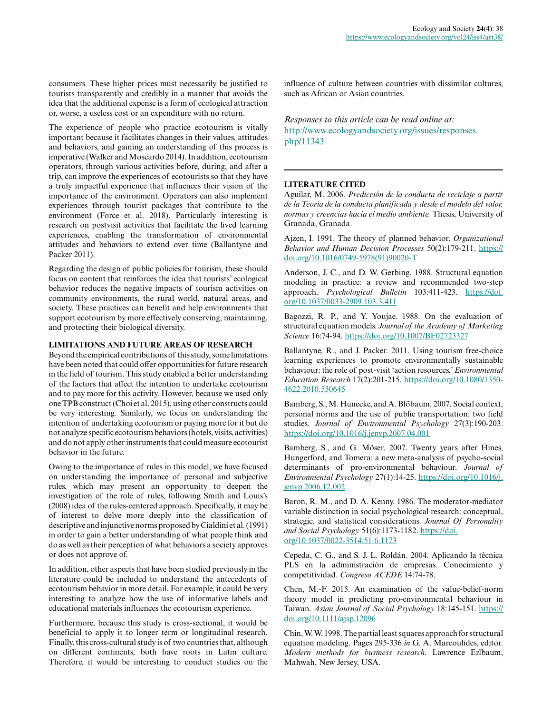consumers. These higher prices must necessarily be justified to tourists transparently and credibly in a manner that avoids the idea that the additional expense is a form of ecological attraction or, worse, a useless cost or an expenditure with no return.

The experience of people who practice ecotourism is vitally important because it facilitates changes in their values, attitudes and behaviors, and gaining an understanding of this process is imperative (Walker and Moscardo 2014). In addition, ecotourism operators, through various activities before, during, and after a trip, can improve the experiences of ecotourists so that they have a truly impactful experience that influences their vision of the importance of the environment. Operators can also implement experiences through tourist packages that contribute to the environment (Force et al. 2018). Particularly interesting is research on postvisit activities that facilitate the lived learning experiences, enabling the transformation of environmental attitudes and behaviors to extend over time (Ballantyne and Packer 2011).

Regarding the design of public policies for tourism, these should focus on content that reinforces the idea that tourists' ecological behavior reduces the negative impacts of tourism activities on community environments, the rural world, natural areas, and society. These practices can benefit and help environments that support ecotourism by more effectively conserving, maintaining, and protecting their biological diversity.

### **LIMITATIONS AND FUTURE AREAS OF RESEARCH**

Beyond the empirical contributions of this study, some limitations have been noted that could offer opportunities for future research in the field of tourism. This study enabled a better understanding of the factors that affect the intention to undertake ecotourism and to pay more for this activity. However, because we used only one TPB construct (Choi et al. 2015), using other constructs could be very interesting. Similarly, we focus on understanding the intention of undertaking ecotourism or paying more for it but do not analyze specific ecotourism behaviors (hotels, visits, activities) and do not apply other instruments that could measure ecotourist behavior in the future.

Owing to the importance of rules in this model, we have focused on understanding the importance of personal and subjective rules, which may present an opportunity to deepen the investigation of the role of rules, following Smith and Louis's (2008) idea of the rules-centered approach. Specifically, it may be of interest to delve more deeply into the classification of descriptive and injunctive norms proposed by Cialdini et al. (1991) in order to gain a better understanding of what people think and do as well as their perception of what behaviors a society approves or does not approve of.

In addition, other aspects that have been studied previously in the literature could be included to understand the antecedents of ecotourism behavior in more detail. For example, it could be very interesting to analyze how the use of informative labels and educational materials influences the ecotourism experience.

Furthermore, because this study is cross-sectional, it would be beneficial to apply it to longer term or longitudinal research. Finally, this cross-cultural study is of two countries that, although on different continents, both have roots in Latin culture. Therefore, it would be interesting to conduct studies on the influence of culture between countries with dissimilar cultures, such as African or Asian countries.

# *Responses to this article can be read online at:* [http://www.ecologyandsociety.org/issues/responses.](http://www.ecologyandsociety.org/issues/responses.php/11343) [php/11343](http://www.ecologyandsociety.org/issues/responses.php/11343)

#### **LITERATURE CITED**

Aguilar, M. 2006. *Predicción de la conducta de reciclaje a partir de la Teoría de la conducta planificada y desde el modelo del valor, normas y creencias hacia el medio ambiente.* Thesis, University of Granada, Granada.

Ajzen, I. 1991. The theory of planned behavior. *Organizational Behavior and Human Decision Processes* 50(2):179-211. [https://](https://doi.org/10.1016/0749-5978(91)90020-T) [doi.org/10.1016/0749-5978\(91\)90020-T](https://doi.org/10.1016/0749-5978(91)90020-T)

Anderson, J. C., and D. W. Gerbing. 1988. Structural equation modeling in practice: a review and recommended two-step approach. *Psychological Bulletin* 103:411-423. [https://doi.](https://doi.org/10.1037/0033-2909.103.3.411) [org/10.1037/0033-2909.103.3.411](https://doi.org/10.1037/0033-2909.103.3.411)

Bagozzi, R. P., and Y. Youjae. 1988. On the evaluation of structural equation models. *Journal of the Academy of Marketing Science* 16:74-94. <https://doi.org/10.1007/BF02723327>

Ballantyne, R., and J. Packer. 2011. Using tourism free-choice learning experiences to promote environmentally sustainable behaviour: the role of post-visit 'action resources.' *Environmental Education Research* 17(2):201-215. [https://doi.org/10.1080/1350](https://doi.org/10.1080/13504622.2010.530645) [4622.2010.530645](https://doi.org/10.1080/13504622.2010.530645) 

Bamberg, S., M. Hunecke, and A. Blöbaum. 2007. Social context, personal norms and the use of public transportation: two field studies. *Journal of Environmental Psychology* 27(3):190-203. <https://doi.org/10.1016/j.jenvp.2007.04.001>

Bamberg, S., and G. Möser. 2007. Twenty years after Hines, Hungerford, and Tomera: a new meta-analysis of psycho-social determinants of pro-environmental behaviour. *Journal of Environmental Psychology* 27(1):14-25. [https://doi.org/10.1016/j.](https://doi.org/10.1016/j.jenvp.2006.12.002) [jenvp.2006.12.002](https://doi.org/10.1016/j.jenvp.2006.12.002) 

Baron, R. M., and D. A. Kenny. 1986. The moderator-mediator variable distinction in social psychological research: conceptual, strategic, and statistical considerations. *Journal Of Personality and Social Psychology* 51(6):1173-1182. [https://doi.](https://doi.org/10.1037/0022-3514.51.6.1173) [org/10.1037/0022-3514.51.6.1173](https://doi.org/10.1037/0022-3514.51.6.1173)

Cepeda, C. G., and S. J. L. Roldán. 2004. Aplicando la técnica PLS en la administración de empresas. Conocimiento y competitividad. *Congreso ACEDE* 14:74-78.

Chen, M.-F. 2015. An examination of the value-belief-norm theory model in predicting pro-environmental behaviour in Taiwan. *Asian Journal of Social Psychology* 18:145-151. [https://](https://doi.org/10.1111/ajsp.12096) [doi.org/10.1111/ajsp.12096](https://doi.org/10.1111/ajsp.12096) 

Chin, W. W. 1998. The partial least squares approach for structural equation modeling. Pages 295-336 *in* G. A. Marcoulides, editor. *Modern methods for business research*. Lawrence Erlbaum, Mahwah, New Jersey, USA.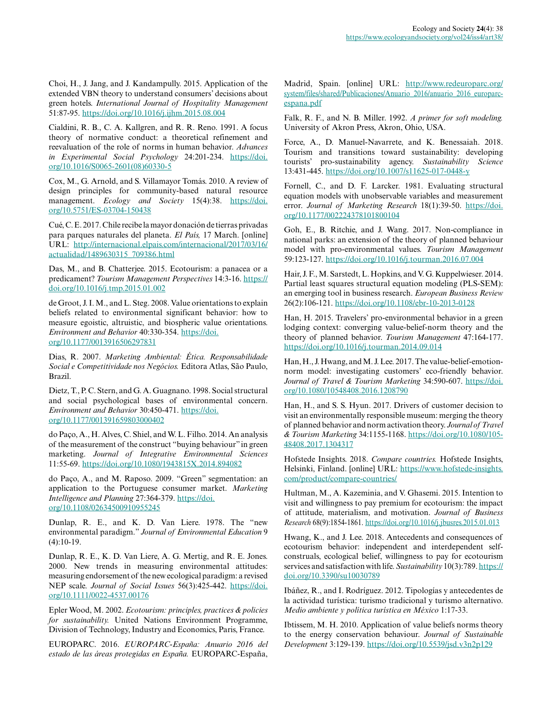Choi, H., J. Jang, and J. Kandampully. 2015. Application of the extended VBN theory to understand consumers' decisions about green hotels. *International Journal of Hospitality Management* 51:87-95.<https://doi.org/10.1016/j.ijhm.2015.08.004>

Cialdini, R. B., C. A. Kallgren, and R. R. Reno. 1991. A focus theory of normative conduct: a theoretical refinement and reevaluation of the role of norms in human behavior. *Advances in Experimental Social Psychology* 24:201-234. [https://doi.](https://doi.org/10.1016/S0065-2601(08)60330-5) [org/10.1016/S0065-2601\(08\)60330-5](https://doi.org/10.1016/S0065-2601(08)60330-5)

Cox, M., G. Arnold, and S. Villamayor Tomás. 2010. A review of design principles for community-based natural resource management. *Ecology and Society* 15(4):38. [https://doi.](https://doi.org/10.5751/ES-03704-150438) [org/10.5751/ES-03704-150438](https://doi.org/10.5751/ES-03704-150438) 

Cué, C. E. 2017. Chile recibe la mayor donación de tierras privadas para parques naturales del planeta. *El País,* 17 March. [online] URL: [http://internacional.elpais.com/internacional/2017/03/16/](http://internacional.elpais.com/internacional/2017/03/16/actualidad/1489630315_709386.html) [actualidad/1489630315\\_709386.html](http://internacional.elpais.com/internacional/2017/03/16/actualidad/1489630315_709386.html) 

Das, M., and B. Chatterjee. 2015. Ecotourism: a panacea or a predicament? *Tourism Management Perspectives* 14:3-16. [https://](https://doi.org/10.1016/j.tmp.2015.01.002) [doi.org/10.1016/j.tmp.2015.01.002](https://doi.org/10.1016/j.tmp.2015.01.002)

de Groot, J. I. M., and L. Steg. 2008. Value orientations to explain beliefs related to environmental significant behavior: how to measure egoistic, altruistic, and biospheric value orientations. *Environment and Behavior* 40:330-354. [https://doi.](https://doi.org/10.1177/0013916506297831) [org/10.1177/0013916506297831](https://doi.org/10.1177/0013916506297831)

Dias, R. 2007. *Marketing Ambiental: Ética. Responsabilidade Social e Competitividade nos Negócios.* Editora Atlas, São Paulo, Brazil.

Dietz, T., P. C. Stern, and G. A. Guagnano. 1998. Social structural and social psychological bases of environmental concern. *Environment and Behavior* 30:450-471. [https://doi.](https://doi.org/10.1177/001391659803000402) [org/10.1177/001391659803000402](https://doi.org/10.1177/001391659803000402)

do Paço, A., H. Alves, C. Shiel, and W. L. Filho. 2014. An analysis of the measurement of the construct "buying behaviour" in green marketing. *Journal of Integrative Environmental Sciences* 11:55-69.<https://doi.org/10.1080/1943815X.2014.894082>

do Paço, A., and M. Raposo. 2009. "Green" segmentation: an application to the Portuguese consumer market. *Marketing Intelligence and Planning* 27:364-379. [https://doi.](https://doi.org/10.1108/02634500910955245) [org/10.1108/02634500910955245](https://doi.org/10.1108/02634500910955245) 

Dunlap, R. E., and K. D. Van Liere. 1978. The "new environmental paradigm." *Journal of Environmental Education* 9 (4):10-19.

Dunlap, R. E., K. D. Van Liere, A. G. Mertig, and R. E. Jones. 2000. New trends in measuring environmental attitudes: measuring endorsement of the new ecological paradigm: a revised NEP scale. *Journal of Social Issues* 56(3):425-442. [https://doi.](https://doi.org/10.1111/0022-4537.00176) [org/10.1111/0022-4537.00176](https://doi.org/10.1111/0022-4537.00176)

Epler Wood, M. 2002. *Ecotourism: principles, practices & policies for sustainability.* United Nations Environment Programme, Division of Technology, Industry and Economics, Paris, France.

EUROPARC. 2016. *EUROPARC-España: Anuario 2016 del estado de las áreas protegidas en España.* EUROPARC-España, Madrid, Spain. [online] URL: [http://www.redeuroparc.org/](http://www.redeuroparc.org/system/files/shared/Publicaciones/Anuario_2016/anuario_2016_europarc-espana.pdf) [system/files/shared/Publicaciones/Anuario\\_2016/anuario\\_2016\\_europarc](http://www.redeuroparc.org/system/files/shared/Publicaciones/Anuario_2016/anuario_2016_europarc-espana.pdf)[espana.pdf](http://www.redeuroparc.org/system/files/shared/Publicaciones/Anuario_2016/anuario_2016_europarc-espana.pdf)

Falk, R. F., and N. B. Miller. 1992. *A primer for soft modeling.* University of Akron Press, Akron, Ohio, USA.

Force, A., D. Manuel-Navarrete, and K. Benessaiah. 2018. Tourism and transitions toward sustainability: developing tourists' pro-sustainability agency. *Sustainability Science* 13:431-445.<https://doi.org/10.1007/s11625-017-0448-y>

Fornell, C., and D. F. Larcker. 1981. Evaluating structural equation models with unobservable variables and measurement error. *Journal of Marketing Research* 18(1):39-50. [https://doi.](https://doi.org/10.1177/002224378101800104) [org/10.1177/002224378101800104](https://doi.org/10.1177/002224378101800104)

Goh, E., B. Ritchie, and J. Wang. 2017. Non-compliance in national parks: an extension of the theory of planned behaviour model with pro-environmental values. *Tourism Management* 59:123-127.<https://doi.org/10.1016/j.tourman.2016.07.004>

Hair, J. F., M. Sarstedt, L. Hopkins, and V. G. Kuppelwieser. 2014. Partial least squares structural equation modeling (PLS-SEM): an emerging tool in business research. *European Business Review* 26(2):106-121. <https://doi.org/10.1108/ebr-10-2013-0128>

Han, H. 2015. Travelers' pro-environmental behavior in a green lodging context: converging value-belief-norm theory and the theory of planned behavior. *Tourism Management* 47:164-177. <https://doi.org/10.1016/j.tourman.2014.09.014>

Han, H., J. Hwang, and M. J. Lee. 2017. The value-belief-emotionnorm model: investigating customers' eco-friendly behavior. *Journal of Travel & Tourism Marketing* 34:590-607. [https://doi.](https://doi.org/10.1080/10548408.2016.1208790) [org/10.1080/10548408.2016.1208790](https://doi.org/10.1080/10548408.2016.1208790) 

Han, H., and S. S. Hyun. 2017. Drivers of customer decision to visit an environmentally responsible museum: merging the theory of planned behavior and norm activation theory. *Journal of Travel & Tourism Marketing* 34:1155-1168. [https://doi.org/10.1080/105](https://doi.org/10.1080/10548408.2017.1304317) [48408.2017.1304317](https://doi.org/10.1080/10548408.2017.1304317) 

Hofstede Insights. 2018. *Compare countries.* Hofstede Insights, Helsinki, Finland. [online] URL: [https://www.hofstede-insights.](https://www.hofstede-insights.com/product/compare-countries/) [com/product/compare-countries/](https://www.hofstede-insights.com/product/compare-countries/)

Hultman, M., A. Kazeminia, and V. Ghasemi. 2015. Intention to visit and willingness to pay premium for ecotourism: the impact of attitude, materialism, and motivation. *Journal of Business Research* 68(9):1854-1861.<https://doi.org/10.1016/j.jbusres.2015.01.013>

Hwang, K., and J. Lee. 2018. Antecedents and consequences of ecotourism behavior: independent and interdependent selfconstruals, ecological belief, willingness to pay for ecotourism services and satisfaction with life. *Sustainability* 10(3):789. [https://](https://doi.org/10.3390/su10030789) [doi.org/10.3390/su10030789](https://doi.org/10.3390/su10030789)

Ibáñez, R., and I. Rodríguez. 2012. Tipologías y antecedentes de la actividad turística: turismo tradicional y turismo alternativo. *Medio ambiente y política turística en México* 1:17-33.

Ibtissem, M. H. 2010. Application of value beliefs norms theory to the energy conservation behaviour. *Journal of Sustainable Development* 3:129-139.<https://doi.org/10.5539/jsd.v3n2p129>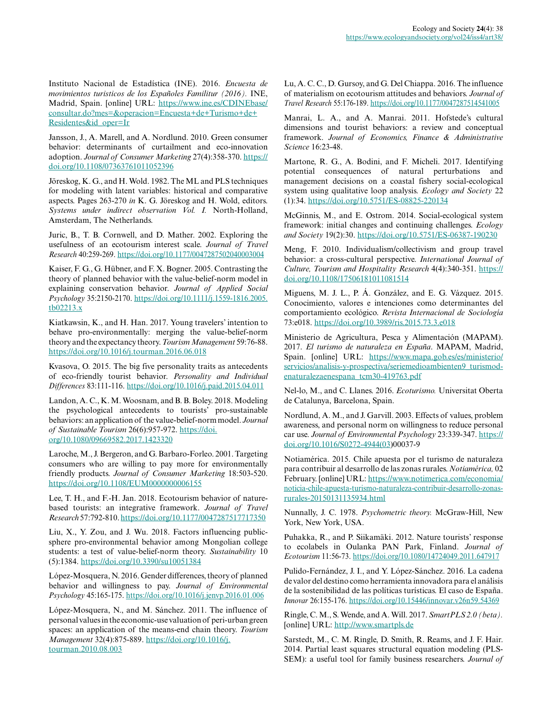Instituto Nacional de Estadística (INE). 2016. *Encuesta de movimientos turisticos de los Españoles Familitur (2016).* INE, Madrid, Spain. [online] URL: [https://www.ine.es/CDINEbase/](https://www.ine.es/CDINEbase/consultar.do?mes=&operacion=Encuesta+de+Turismo+de+Residentes&id_oper=Ir) [consultar.do?mes=&operacion=Encuesta+de+Turismo+de+](https://www.ine.es/CDINEbase/consultar.do?mes=&operacion=Encuesta+de+Turismo+de+Residentes&id_oper=Ir) [Residentes&id\\_oper=Ir](https://www.ine.es/CDINEbase/consultar.do?mes=&operacion=Encuesta+de+Turismo+de+Residentes&id_oper=Ir) 

Jansson, J., A. Marell, and A. Nordlund. 2010. Green consumer behavior: determinants of curtailment and eco-innovation adoption. *Journal of Consumer Marketing* 27(4):358-370. [https://](https://doi.org/10.1108/07363761011052396) [doi.org/10.1108/07363761011052396](https://doi.org/10.1108/07363761011052396) 

Jöreskog, K. G., and H. Wold. 1982. The ML and PLS techniques for modeling with latent variables: historical and comparative aspects. Pages 263-270 *in* K. G. Jöreskog and H. Wold, editors. *Systems under indirect observation Vol. I.* North-Holland, Amsterdam, The Netherlands.

Juric, B., T. B. Cornwell, and D. Mather. 2002. Exploring the usefulness of an ecotourism interest scale. *Journal of Travel Research* 40:259-269.<https://doi.org/10.1177/0047287502040003004>

Kaiser, F. G., G. Hübner, and F. X. Bogner. 2005. Contrasting the theory of planned behavior with the value-belief-norm model in explaining conservation behavior. *Journal of Applied Social Psychology* 35:2150-2170. [https://doi.org/10.1111/j.1559-1816.2005.](https://doi.org/10.1111/j.1559-1816.2005.tb02213.x) [tb02213.x](https://doi.org/10.1111/j.1559-1816.2005.tb02213.x)

Kiatkawsin, K., and H. Han. 2017. Young travelers' intention to behave pro-environmentally: merging the value-belief-norm theory and the expectancy theory. *Tourism Management* 59:76-88. <https://doi.org/10.1016/j.tourman.2016.06.018>

Kvasova, O. 2015. The big five personality traits as antecedents of eco-friendly tourist behavior. *Personality and Individual Differences* 83:111-116. <https://doi.org/10.1016/j.paid.2015.04.011>

Landon, A. C., K. M. Woosnam, and B. B. Boley. 2018. Modeling the psychological antecedents to tourists' pro-sustainable behaviors: an application of the value-belief-norm model. *Journal of Sustainable Tourism* 26(6):957-972. [https://doi.](https://doi.org/10.1080/09669582.2017.1423320) [org/10.1080/09669582.2017.1423320](https://doi.org/10.1080/09669582.2017.1423320) 

Laroche, M., J. Bergeron, and G. Barbaro‐Forleo. 2001. Targeting consumers who are willing to pay more for environmentally friendly products. *Journal of Consumer Marketing* 18:503-520. <https://doi.org/10.1108/EUM0000000006155>

Lee, T. H., and F.-H. Jan. 2018. Ecotourism behavior of naturebased tourists: an integrative framework. *Journal of Travel Research* 57:792-810.<https://doi.org/10.1177/0047287517717350>

Liu, X., Y. Zou, and J. Wu. 2018. Factors influencing publicsphere pro-environmental behavior among Mongolian college students: a test of value-belief-norm theory. *Sustainability* 10 (5):1384. <https://doi.org/10.3390/su10051384>

López-Mosquera, N. 2016. Gender differences, theory of planned behavior and willingness to pay. *Journal of Environmental Psychology* 45:165-175. <https://doi.org/10.1016/j.jenvp.2016.01.006>

López-Mosquera, N., and M. Sánchez. 2011. The influence of personal values in the economic-use valuation of peri-urban green spaces: an application of the means-end chain theory. *Tourism Management* 32(4):875-889. [https://doi.org/10.1016/j.](https://doi.org/10.1016/j.tourman.2010.08.003) [tourman.2010.08.003](https://doi.org/10.1016/j.tourman.2010.08.003)

Lu, A. C. C., D. Gursoy, and G. Del Chiappa. 2016. The influence of materialism on ecotourism attitudes and behaviors. *Journal of Travel Research* 55:176-189. <https://doi.org/10.1177/0047287514541005>

Manrai, L. A., and A. Manrai. 2011. Hofstede's cultural dimensions and tourist behaviors: a review and conceptual framework. *Journal of Economics, Finance & Administrative Science* 16:23-48.

Martone, R. G., A. Bodini, and F. Micheli. 2017. Identifying potential consequences of natural perturbations and management decisions on a coastal fishery social-ecological system using qualitative loop analysis. *Ecology and Society* 22 (1):34. <https://doi.org/10.5751/ES-08825-220134>

McGinnis, M., and E. Ostrom. 2014. Social-ecological system framework: initial changes and continuing challenges. *Ecology and Society* 19(2):30.<https://doi.org/10.5751/ES-06387-190230>

Meng, F. 2010. Individualism/collectivism and group travel behavior: a cross-cultural perspective. *International Journal of Culture, Tourism and Hospitality Research* 4(4):340-351. [https://](https://doi.org/10.1108/17506181011081514) [doi.org/10.1108/17506181011081514](https://doi.org/10.1108/17506181011081514) 

Miguens, M. J. L., P. Á. González, and E. G. Vázquez. 2015. Conocimiento, valores e intenciones como determinantes del comportamiento ecológico. *Revista Internacional de Sociología* 73:e018. <https://doi.org/10.3989/ris.2015.73.3.e018>

Ministerio de Agricultura, Pesca y Alimentación (MAPAM). 2017. *El turismo de naturaleza en España*. MAPAM, Madrid, Spain. [online] URL: [https://www.mapa.gob.es/es/ministerio/](https://www.mapa.gob.es/es/ministerio/servicios/analisis-y-prospectiva/seriemedioambienten9_turismodenaturalezaenespana_tcm30-419763.pdf) [servicios/analisis-y-prospectiva/seriemedioambienten9\\_turismod](https://www.mapa.gob.es/es/ministerio/servicios/analisis-y-prospectiva/seriemedioambienten9_turismodenaturalezaenespana_tcm30-419763.pdf)[enaturalezaenespana\\_tcm30-419763.pdf](https://www.mapa.gob.es/es/ministerio/servicios/analisis-y-prospectiva/seriemedioambienten9_turismodenaturalezaenespana_tcm30-419763.pdf)

Nel-lo, M., and C. Llanes. 2016. *Ecoturismo.* Universitat Oberta de Catalunya, Barcelona, Spain.

Nordlund, A. M., and J. Garvill. 2003. Effects of values, problem awareness, and personal norm on willingness to reduce personal car use. *Journal of Environmental Psychology* 23:339-347. [https://](https://doi.org/10.1016/S0272-4944(03) [doi.org/10.1016/S0272-4944\(03\)](https://doi.org/10.1016/S0272-4944(03)00037-9

Notiamérica. 2015. Chile apuesta por el turismo de naturaleza para contribuir al desarrollo de las zonas rurales. *Notiamérica,* 02 February. [online] URL: [https://www.notimerica.com/economia/](https://www.notimerica.com/economia/noticia-chile-apuesta-turismo-naturaleza-contribuir-desarrollo-zonas-rurales-20150131135934.html) [noticia-chile-apuesta-turismo-naturaleza-contribuir-desarrollo-zonas](https://www.notimerica.com/economia/noticia-chile-apuesta-turismo-naturaleza-contribuir-desarrollo-zonas-rurales-20150131135934.html)[rurales-20150131135934.html](https://www.notimerica.com/economia/noticia-chile-apuesta-turismo-naturaleza-contribuir-desarrollo-zonas-rurales-20150131135934.html)

Nunnally, J. C. 1978. *Psychometric theory.* McGraw-Hill, New York, New York, USA.

Puhakka, R., and P. Siikamäki. 2012. Nature tourists' response to ecolabels in Oulanka PAN Park, Finland. *Journal of Ecotourism* 11:56-73.<https://doi.org/10.1080/14724049.2011.647917>

Pulido-Fernández, J. I., and Y. López-Sánchez. 2016. La cadena de valor del destino como herramienta innovadora para el análisis de la sostenibilidad de las políticas turísticas. El caso de España. *Innovar* 26:155-176.<https://doi.org/10.15446/innovar.v26n59.54369>

Ringle, C. M., S. Wende, and A. Will. 2017. *SmartPLS 2.0 (beta).* [online] URL: <http://www.smartpls.de>

Sarstedt, M., C. M. Ringle, D. Smith, R. Reams, and J. F. Hair. 2014. Partial least squares structural equation modeling (PLS-SEM): a useful tool for family business researchers. *Journal of*